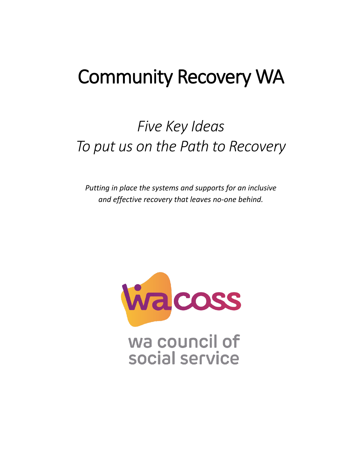# Community Recovery WA

## *Five Key Ideas To put us on the Path to Recovery*

*Putting in place the systems and supports for an inclusive and effective recovery that leaves no-one behind.*

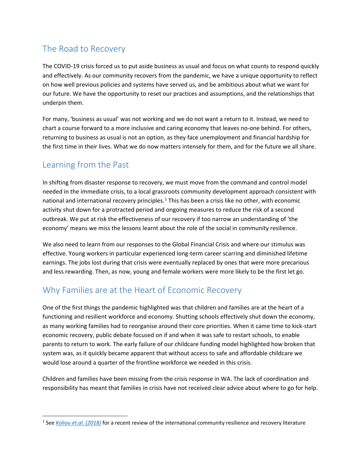#### The Road to Recovery

The COVID-19 crisis forced us to put aside business as usual and focus on what counts to respond quickly and effectively. As our community recovers from the pandemic, we have a unique opportunity to reflect on how well previous policies and systems have served us, and be ambitious about what we want for our future. We have the opportunity to reset our practices and assumptions, and the relationships that underpin them.

For many, 'business as usual' was not working and we do not want a return to it. Instead, we need to chart a course forward to a more inclusive and caring economy that leaves no-one behind. For others, returning to business as usual is not an option, as they face unemployment and financial hardship for the first time in their lives. What we do now matters intensely for them, and for the future we all share.

#### Learning from the Past

In shifting from disaster response to recovery, we must move from the command and control model needed in the immediate crisis, to a local grassroots community development approach consistent with national and international recovery principles.<sup>[1](#page-1-0)</sup> This has been a crisis like no other, with economic activity shut down for a protracted period and ongoing measures to reduce the risk of a second outbreak. We put at risk the effectiveness of our recovery if too narrow an understanding of 'the economy' means we miss the lessons learnt about the role of the social in community resilience.

We also need to learn from our responses to the Global Financial Crisis and where our stimulus was effective. Young workers in particular experienced long-term career scarring and diminished lifetime earnings. The jobs lost during that crisis were eventually replaced by ones that were more precarious and less rewarding. Then, as now, young and female workers were more likely to be the first let go.

#### Why Families are at the Heart of Economic Recovery

One of the first things the pandemic highlighted was that children and families are at the heart of a functioning and resilient workforce and economy. Shutting schools effectively shut down the economy, as many working families had to reorganise around their core priorities. When it came time to kick-start economic recovery, public debate focused on if and when it was safe to restart schools, to enable parents to return to work. The early failure of our childcare funding model highlighted how broken that system was, as it quickly became apparent that without access to safe and affordable childcare we would lose around a quarter of the frontline workforce we needed in this crisis.

Children and families have been missing from the crisis response in WA. The lack of coordination and responsibility has meant that families in crisis have not received clear advice about where to go for help.

<span id="page-1-0"></span> <sup>1</sup> See *[Koliou et.al. \(2018\)](https://www.google.com/url?sa=t&rct=j&q=&esrc=s&source=web&cd=&ved=2ahUKEwiCraPA7PjpAhXFxzgGHfrfCu4QFjAAegQIBBAB&url=https%3A%2F%2Ftsapps.nist.gov%2Fpublication%2Fget_pdf.cfm%3Fpub_id%3D923194&usg=AOvVaw1D3kJ5b1wwZntMPusjCx60)* for a recent review of the international community resilience and recovery literature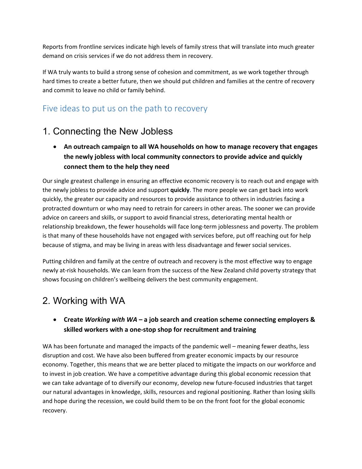Reports from frontline services indicate high levels of family stress that will translate into much greater demand on crisis services if we do not address them in recovery.

If WA truly wants to build a strong sense of cohesion and commitment, as we work together through hard times to create a better future, then we should put children and families at the centre of recovery and commit to leave no child or family behind.

#### Five ideas to put us on the path to recovery

### 1. Connecting the New Jobless

• **An outreach campaign to all WA households on how to manage recovery that engages the newly jobless with local community connectors to provide advice and quickly connect them to the help they need**

Our single greatest challenge in ensuring an effective economic recovery is to reach out and engage with the newly jobless to provide advice and support **quickly**. The more people we can get back into work quickly, the greater our capacity and resources to provide assistance to others in industries facing a protracted downturn or who may need to retrain for careers in other areas. The sooner we can provide advice on careers and skills, or support to avoid financial stress, deteriorating mental health or relationship breakdown, the fewer households will face long-term joblessness and poverty. The problem is that many of these households have not engaged with services before, put off reaching out for help because of stigma, and may be living in areas with less disadvantage and fewer social services.

Putting children and family at the centre of outreach and recovery is the most effective way to engage newly at-risk households. We can learn from the success of the New Zealand child poverty strategy that shows focusing on children's wellbeing delivers the best community engagement.

#### 2. Working with WA

#### • **Create** *Working with WA* **– a job search and creation scheme connecting employers & skilled workers with a one-stop shop for recruitment and training**

WA has been fortunate and managed the impacts of the pandemic well – meaning fewer deaths, less disruption and cost. We have also been buffered from greater economic impacts by our resource economy. Together, this means that we are better placed to mitigate the impacts on our workforce and to invest in job creation. We have a competitive advantage during this global economic recession that we can take advantage of to diversify our economy, develop new future-focused industries that target our natural advantages in knowledge, skills, resources and regional positioning. Rather than losing skills and hope during the recession, we could build them to be on the front foot for the global economic recovery.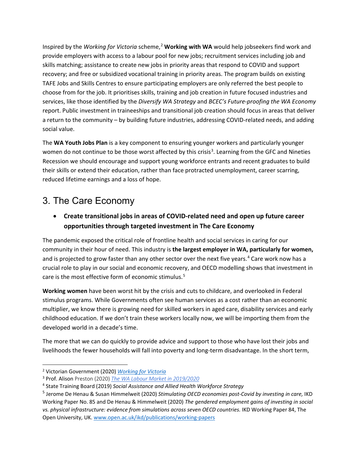Inspired by the *Working for Victoria* scheme,<sup>[2](#page-3-0)</sup> Working with WA would help jobseekers find work and provide employers with access to a labour pool for new jobs; recruitment services including job and skills matching; assistance to create new jobs in priority areas that respond to COVID and support recovery; and free or subsidized vocational training in priority areas. The program builds on existing TAFE Jobs and Skills Centres to ensure participating employers are only referred the best people to choose from for the job. It prioritises skills, training and job creation in future focused industries and services, like those identified by the *Diversify WA Strategy* and *BCEC's Future-proofing the WA Economy* report. Public investment in traineeships and transitional job creation should focus in areas that deliver a return to the community – by building future industries, addressing COVID-related needs, and adding social value.

The **WA Youth Jobs Plan** is a key component to ensuring younger workers and particularly younger women do not continue to be those worst affected by this crisis<sup>[3](#page-3-1)</sup>. Learning from the GFC and Nineties Recession we should encourage and support young workforce entrants and recent graduates to build their skills or extend their education, rather than face protracted unemployment, career scarring, reduced lifetime earnings and a loss of hope.

#### 3. The Care Economy

• **Create transitional jobs in areas of COVID-related need and open up future career opportunities through targeted investment in The Care Economy**

The pandemic exposed the critical role of frontline health and social services in caring for our community in their hour of need. This industry is **the largest employer in WA, particularly for women,** and is projected to grow faster than any other sector over the next five years.<sup>[4](#page-3-2)</sup> Care work now has a crucial role to play in our social and economic recovery, and OECD modelling shows that investment in care is the most effective form of economic stimulus.<sup>[5](#page-3-3)</sup>

**Working women** have been worst hit by the crisis and cuts to childcare, and overlooked in Federal stimulus programs. While Governments often see human services as a cost rather than an economic multiplier, we know there is growing need for skilled workers in aged care, disability services and early childhood education. If we don't train these workers locally now, we will be importing them from the developed world in a decade's time.

The more that we can do quickly to provide advice and support to those who have lost their jobs and livelihoods the fewer households will fall into poverty and long-term disadvantage. In the short term,

<span id="page-3-0"></span> <sup>2</sup> Victorian Government (2020) *[Working for Victoria](https://www.vic.gov.au/workingforvictoria)*

<span id="page-3-1"></span><sup>3</sup> Prof. Alison Preston (2020[\)](http://www.wairc.wa.gov.au/images/SWC2020/The%20WA%20Labour%20Market%20in%202019-2020%20%E2%80%93%20Professor%20Alison%20Preston.PDF) *[The WA Labour Market in 2019/2020](http://www.wairc.wa.gov.au/images/SWC2020/The%20WA%20Labour%20Market%20in%202019-2020%20%E2%80%93%20Professor%20Alison%20Preston.PDF)*

<span id="page-3-2"></span><sup>4</sup> State Training Board (2019) *Social Assistance and Allied Health Workforce Strategy*

<span id="page-3-3"></span><sup>5</sup> Jerome De Henau & Susan Himmelweit (2020) *Stimulating OECD economies post-Covid by investing in care,* IKD Working Paper No. 85 and De Henau & Himmelweit (2020) *The gendered employment gains of investing in social vs. physical infrastructure: evidence from simulations across seven OECD countries.* IKD Working Paper 84, The Open University, UK[. www.open.ac.uk/ikd/publications/working-papers](http://www.open.ac.uk/ikd/publications/working-papers)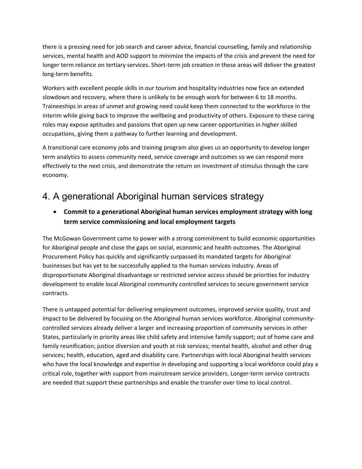there is a pressing need for job search and career advice, financial counselling, family and relationship services, mental health and AOD support to minimize the impacts of the crisis and prevent the need for longer term reliance on tertiary services. Short-term job creation in these areas will deliver the greatest long-term benefits.

Workers with excellent people skills in our tourism and hospitality industries now face an extended slowdown and recovery, where there is unlikely to be enough work for between 6 to 18 months. Traineeships in areas of unmet and growing need could keep them connected to the workforce in the interim while giving back to improve the wellbeing and productivity of others. Exposure to these caring roles may expose aptitudes and passions that open up new career opportunities in higher skilled occupations, giving them a pathway to further learning and development.

A transitional care economy jobs and training program also gives us an opportunity to develop longer term analytics to assess community need, service coverage and outcomes so we can respond more effectively to the next crisis, and demonstrate the return on investment of stimulus through the care economy.

#### 4. A generational Aboriginal human services strategy

• **Commit to a generational Aboriginal human services employment strategy with long term service commissioning and local employment targets**

The McGowan Government came to power with a strong commitment to build economic opportunities for Aboriginal people and close the gaps on social, economic and health outcomes. The Aboriginal Procurement Policy has quickly and significantly surpassed its mandated targets for Aboriginal businesses but has yet to be successfully applied to the human services industry. Areas of disproportionate Aboriginal disadvantage or restricted service access should be priorities for industry development to enable local Aboriginal community controlled services to secure government service contracts.

There is untapped potential for delivering employment outcomes, improved service quality, trust and impact to be delivered by focusing on the Aboriginal human services workforce. Aboriginal communitycontrolled services already deliver a larger and increasing proportion of community services in other States, particularly in priority areas like child safety and intensive family support; out of home care and family reunification; justice diversion and youth at risk services; mental health, alcohol and other drug services; health, education, aged and disability care. Partnerships with local Aboriginal health services who have the local knowledge and expertise in developing and supporting a local workforce could play a critical role, together with support from mainstream service providers. Longer-term service contracts are needed that support these partnerships and enable the transfer over time to local control.